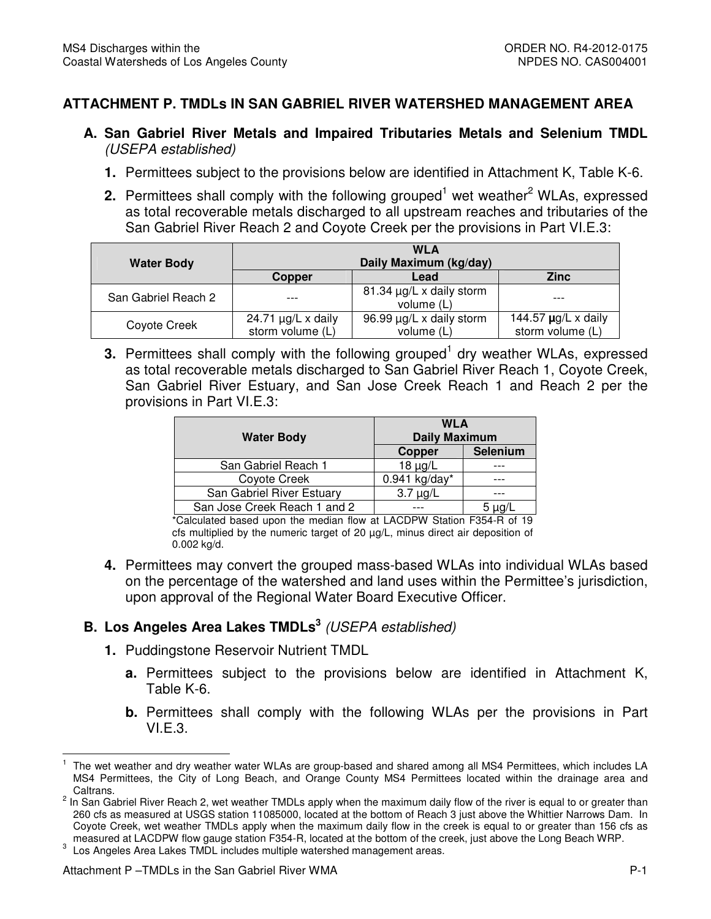## **ATTACHMENT P. TMDLs IN SAN GABRIEL RIVER WATERSHED MANAGEMENT AREA**

- **A. San Gabriel River Metals and Impaired Tributaries Metals and Selenium TMDL**  (USEPA established)
	- **1.** Permittees subject to the provisions below are identified in Attachment K, Table K-6.
	- 2. Permittees shall comply with the following grouped<sup>1</sup> wet weather<sup>2</sup> WLAs, expressed as total recoverable metals discharged to all upstream reaches and tributaries of the San Gabriel River Reach 2 and Coyote Creek per the provisions in Part VI.E.3:

|                     | <b>WLA</b>              |                          |                          |  |
|---------------------|-------------------------|--------------------------|--------------------------|--|
| <b>Water Body</b>   | Daily Maximum (kg/day)  |                          |                          |  |
|                     | <b>Copper</b>           | Lead                     | <b>Zinc</b>              |  |
| San Gabriel Reach 2 |                         | 81.34 µg/L x daily storm |                          |  |
|                     |                         | volume (L)               |                          |  |
| Coyote Creek        | 24.71 $\mu$ g/L x daily | 96.99 µg/L x daily storm | 144.57 $\mu$ g/L x daily |  |
|                     | storm volume (L)        | volume (L)               | storm volume (L)         |  |

**3.** Permittees shall comply with the following grouped<sup>1</sup> dry weather WLAs, expressed as total recoverable metals discharged to San Gabriel River Reach 1, Coyote Creek, San Gabriel River Estuary, and San Jose Creek Reach 1 and Reach 2 per the provisions in Part VI.E.3:

| <b>Water Body</b>            | <b>WLA</b><br><b>Daily Maximum</b> |          |
|------------------------------|------------------------------------|----------|
|                              | Copper                             | Selenium |
| San Gabriel Reach 1          | $18 \mu g/L$                       |          |
| Coyote Creek                 | $0.941$ kg/day*                    |          |
| San Gabriel River Estuary    | $3.7 \mu g/L$                      |          |
| San Jose Creek Reach 1 and 2 |                                    |          |

 \*Calculated based upon the median flow at LACDPW Station F354-R of 19 cfs multiplied by the numeric target of 20 µg/L, minus direct air deposition of 0.002 kg/d.

 **4.** Permittees may convert the grouped mass-based WLAs into individual WLAs based on the percentage of the watershed and land uses within the Permittee's jurisdiction, upon approval of the Regional Water Board Executive Officer.

## **B. Los Angeles Area Lakes TMDLs<sup>3</sup> (USEPA established)**

- **1.** Puddingstone Reservoir Nutrient TMDL
	- **a.** Permittees subject to the provisions below are identified in Attachment K, Table K-6.
	- **b.** Permittees shall comply with the following WLAs per the provisions in Part VI.E.3.

 $\overline{a}$  MS4 Permittees, the City of Long Beach, and Orange County MS4 Permittees located within the drainage area and 1 The wet weather and dry weather water WLAs are group-based and shared among all MS4 Permittees, which includes LA Caltrans.

 $^2$  In San Gabriel River Reach 2, wet weather TMDLs apply when the maximum daily flow of the river is equal to or greater than 260 cfs as measured at USGS station 11085000, located at the bottom of Reach 3 just above the Whittier Narrows Dam. In Coyote Creek, wet weather TMDLs apply when the maximum daily flow in the creek is equal to or greater than 156 cfs as measured at LACDPW flow gauge station F354-R, located at the bottom of the creek, just above the Long Beach WRP.

 $\mathbf{3}$ Los Angeles Area Lakes TMDL includes multiple watershed management areas.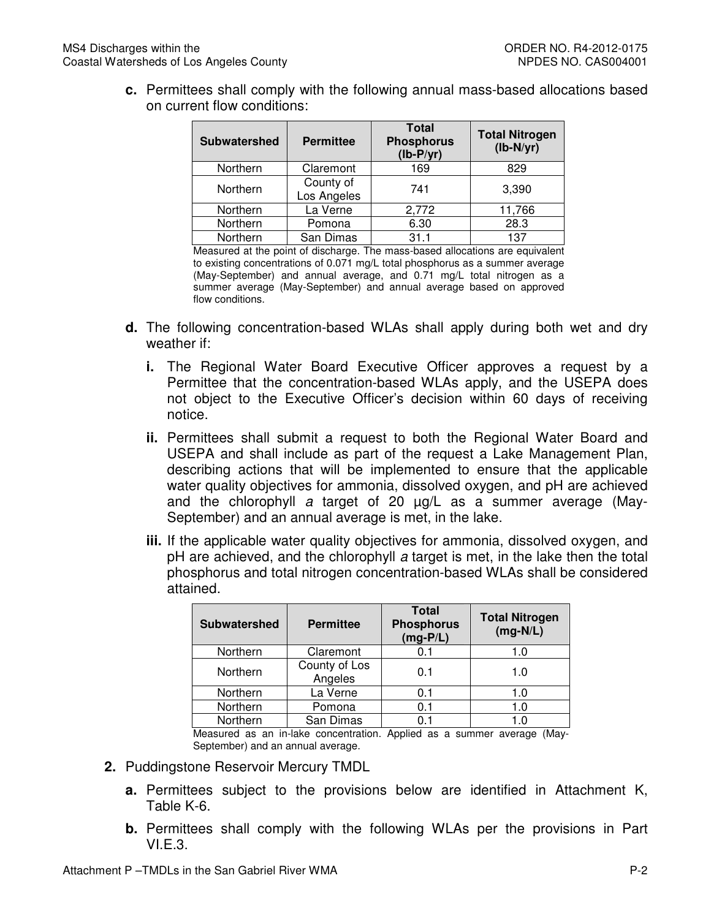**c.** Permittees shall comply with the following annual mass-based allocations based on current flow conditions:

| <b>Subwatershed</b> | <b>Permittee</b>         | <b>Total</b><br><b>Phosphorus</b><br>$(lb-P/yr)$ | <b>Total Nitrogen</b><br>$(lb-N/yr)$ |
|---------------------|--------------------------|--------------------------------------------------|--------------------------------------|
| Northern            | Claremont                | 169                                              | 829                                  |
| Northern            | County of<br>Los Angeles | 741                                              | 3,390                                |
| Northern            | La Verne                 | 2,772                                            | 11,766                               |
| Northern            | Pomona                   | 6.30                                             | 28.3                                 |
| Northern            | San Dimas                | 31.1                                             | 137                                  |

 Measured at the point of discharge. The mass-based allocations are equivalent to existing concentrations of 0.071 mg/L total phosphorus as a summer average (May-September) and annual average, and 0.71 mg/L total nitrogen as a summer average (May-September) and annual average based on approved flow conditions.

- **d.** The following concentration-based WLAs shall apply during both wet and dry weather if:
	- **i.** The Regional Water Board Executive Officer approves a request by a Permittee that the concentration-based WLAs apply, and the USEPA does not object to the Executive Officer's decision within 60 days of receiving notice.
	- **ii.** Permittees shall submit a request to both the Regional Water Board and USEPA and shall include as part of the request a Lake Management Plan, describing actions that will be implemented to ensure that the applicable water quality objectives for ammonia, dissolved oxygen, and pH are achieved and the chlorophyll a target of 20 µg/L as a summer average (May-September) and an annual average is met, in the lake.
	- **iii.** If the applicable water quality objectives for ammonia, dissolved oxygen, and pH are achieved, and the chlorophyll a target is met, in the lake then the total phosphorus and total nitrogen concentration-based WLAs shall be considered attained.

| <b>Subwatershed</b> | <b>Permittee</b>         | <b>Total</b><br><b>Phosphorus</b><br>$(mg-P/L)$ | <b>Total Nitrogen</b><br>$(mg-N/L)$ |
|---------------------|--------------------------|-------------------------------------------------|-------------------------------------|
| Northern            | Claremont                | 0.1                                             | 1.0                                 |
| Northern            | County of Los<br>Angeles | 0.1                                             | 1.0                                 |
| Northern            | La Verne                 | 0.1                                             | 1.0                                 |
| Northern            | Pomona                   | 0.1                                             | 1.0                                 |
| Northern            | San Dimas                | 0.1                                             | 1.0                                 |

 Measured as an in-lake concentration. Applied as a summer average (May-September) and an annual average.

- **2.** Puddingstone Reservoir Mercury TMDL
	- **a.** Permittees subject to the provisions below are identified in Attachment K, Table K-6.
	- **b.** Permittees shall comply with the following WLAs per the provisions in Part  $VLE.3.$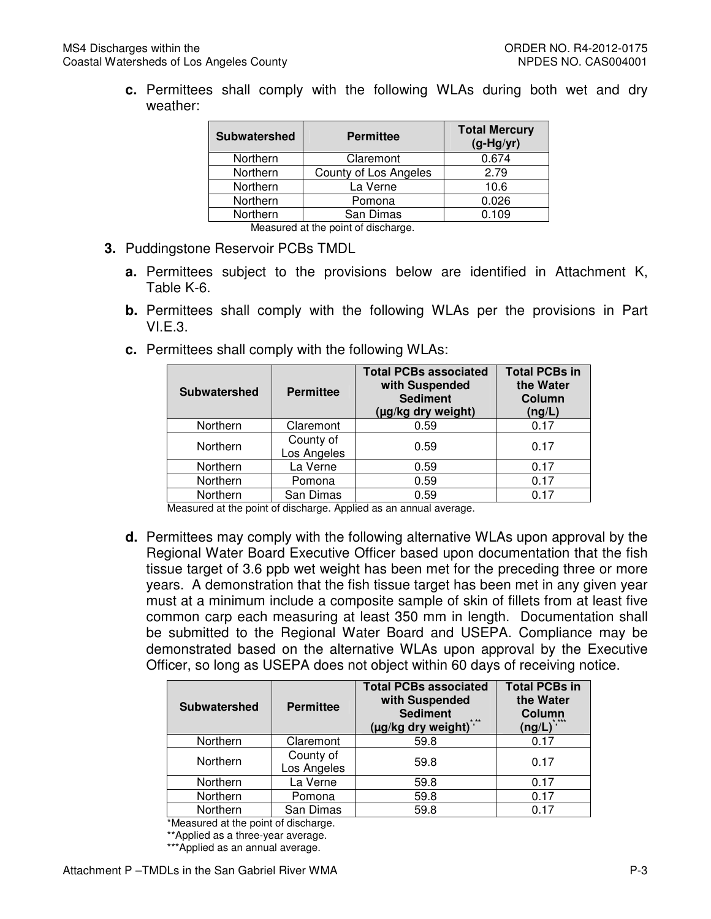**c.** Permittees shall comply with the following WLAs during both wet and dry weather:

| Subwatershed                        | <b>Permittee</b>      | <b>Total Mercury</b><br>$(g-Hg/yr)$ |  |  |
|-------------------------------------|-----------------------|-------------------------------------|--|--|
| Northern                            | Claremont             | 0.674                               |  |  |
| Northern                            | County of Los Angeles | 2.79                                |  |  |
| Northern                            | La Verne              | 10.6                                |  |  |
| Northern                            | Pomona                | 0.026                               |  |  |
| Northern                            | San Dimas             | 0.109                               |  |  |
| Measured at the resist of discharge |                       |                                     |  |  |

Measured at the point of discharge.

- **3.** Puddingstone Reservoir PCBs TMDL
	- **a.** Permittees subject to the provisions below are identified in Attachment K, Table K-6.
	- **b.** Permittees shall comply with the following WLAs per the provisions in Part VI.E.3.
	- **c.** Permittees shall comply with the following WLAs:

| <b>Subwatershed</b> | <b>Permittee</b>         | <b>Total PCBs associated</b><br>with Suspended<br><b>Sediment</b><br>(µg/kg dry weight) | <b>Total PCBs in</b><br>the Water<br>Column<br>(ng/L) |
|---------------------|--------------------------|-----------------------------------------------------------------------------------------|-------------------------------------------------------|
| Northern            | Claremont                | 0.59                                                                                    | 0.17                                                  |
| Northern            | County of<br>Los Angeles | 0.59                                                                                    | 0.17                                                  |
| Northern            | La Verne                 | 0.59                                                                                    | 0.17                                                  |
| Northern            | Pomona                   | 0.59                                                                                    | 0.17                                                  |
| Northern            | San Dimas                | 0.59                                                                                    | በ 17                                                  |

Measured at the point of discharge. Applied as an annual average.

 **d.** Permittees may comply with the following alternative WLAs upon approval by the Regional Water Board Executive Officer based upon documentation that the fish tissue target of 3.6 ppb wet weight has been met for the preceding three or more years. A demonstration that the fish tissue target has been met in any given year must at a minimum include a composite sample of skin of fillets from at least five common carp each measuring at least 350 mm in length. Documentation shall be submitted to the Regional Water Board and USEPA. Compliance may be demonstrated based on the alternative WLAs upon approval by the Executive Officer, so long as USEPA does not object within 60 days of receiving notice.

| <b>Subwatershed</b> | <b>Permittee</b>         | <b>Total PCBs associated</b><br>with Suspended<br><b>Sediment</b><br>(µg/kg dry weight)*,** | <b>Total PCBs in</b><br>the Water<br>Column<br>$*$ ***<br>$(ng/L)^{7/2}$ |
|---------------------|--------------------------|---------------------------------------------------------------------------------------------|--------------------------------------------------------------------------|
| Northern            | Claremont                | 59.8                                                                                        | 0.17                                                                     |
| Northern            | County of<br>Los Angeles | 59.8                                                                                        | 0.17                                                                     |
| Northern            | La Verne                 | 59.8                                                                                        | 0.17                                                                     |
| Northern            | Pomona                   | 59.8                                                                                        | 0.17                                                                     |
| Northern            | San Dimas                | 59.8                                                                                        | 0.17                                                                     |

\*Measured at the point of discharge.

\*\*Applied as a three-year average.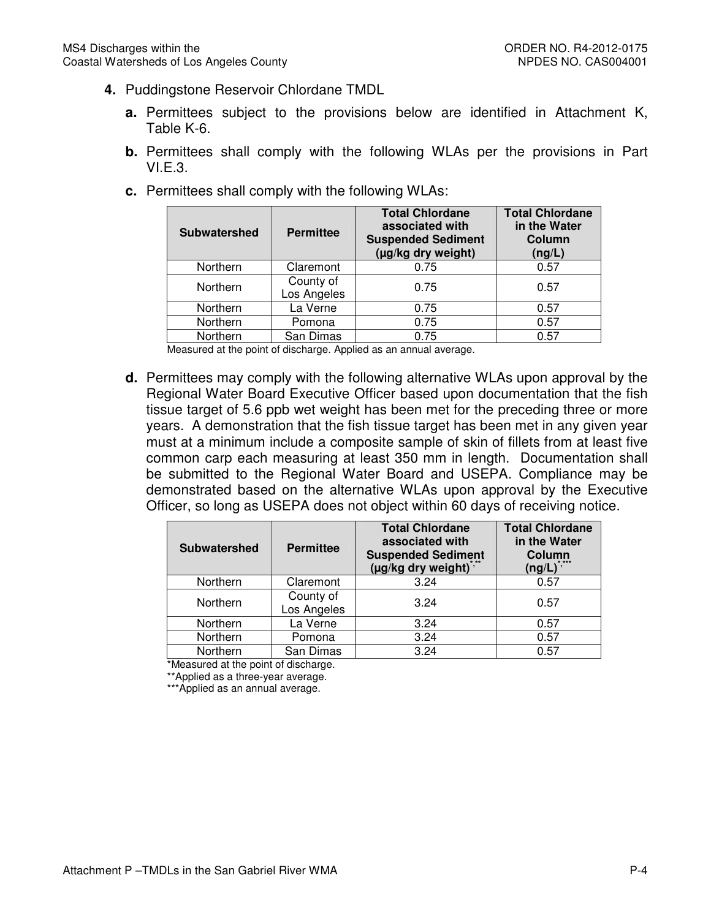- **4.** Puddingstone Reservoir Chlordane TMDL
	- **a.** Permittees subject to the provisions below are identified in Attachment K, Table K-6.
	- **b.** Permittees shall comply with the following WLAs per the provisions in Part VI.E.3.
		- **Total Chlordane associated with Suspended Sediment (µg/kg dry weight) Total Chlordane in the Water**  Northern County of Los Angeles **0.75** 0.75 0.57 Northern Northern | San Dimas | 0.75 | 0.57 Subwatershed **Permittee Column (ng/L)**  Northern | Claremont | 0.75 | 0.57 La Verne  $\begin{array}{|c|c|c|c|c|} \hline \text{La Verne} & \text{0.75} & \text{0.57} \ \hline \end{array}$ Northern | Pomona | 0.75 | 0.57
	- **c.** Permittees shall comply with the following WLAs:

Measured at the point of discharge. Applied as an annual average.

 **d.** Permittees may comply with the following alternative WLAs upon approval by the Regional Water Board Executive Officer based upon documentation that the fish tissue target of 5.6 ppb wet weight has been met for the preceding three or more years. A demonstration that the fish tissue target has been met in any given year must at a minimum include a composite sample of skin of fillets from at least five common carp each measuring at least 350 mm in length. Documentation shall be submitted to the Regional Water Board and USEPA. Compliance may be demonstrated based on the alternative WLAs upon approval by the Executive Officer, so long as USEPA does not object within 60 days of receiving notice.

| <b>Subwatershed</b> | <b>Permittee</b>         | <b>Total Chlordane</b><br>associated with<br><b>Suspended Sediment</b><br>(µg/kg dry weight) | <b>Total Chlordane</b><br>in the Water<br>Column<br>$* + + +$<br>$($ ng/L $)^{\degree}$ |
|---------------------|--------------------------|----------------------------------------------------------------------------------------------|-----------------------------------------------------------------------------------------|
| Northern            | Claremont                | 3.24                                                                                         | 0.57                                                                                    |
| Northern            | County of<br>Los Angeles | 3.24                                                                                         | 0.57                                                                                    |
| Northern            | La Verne                 | 3.24                                                                                         | 0.57                                                                                    |
| Northern            | Pomona                   | 3.24                                                                                         | 0.57                                                                                    |
| Northern            | San Dimas                | 3.24                                                                                         | 0.57                                                                                    |

\*Measured at the point of discharge.

\*\*Applied as a three-year average.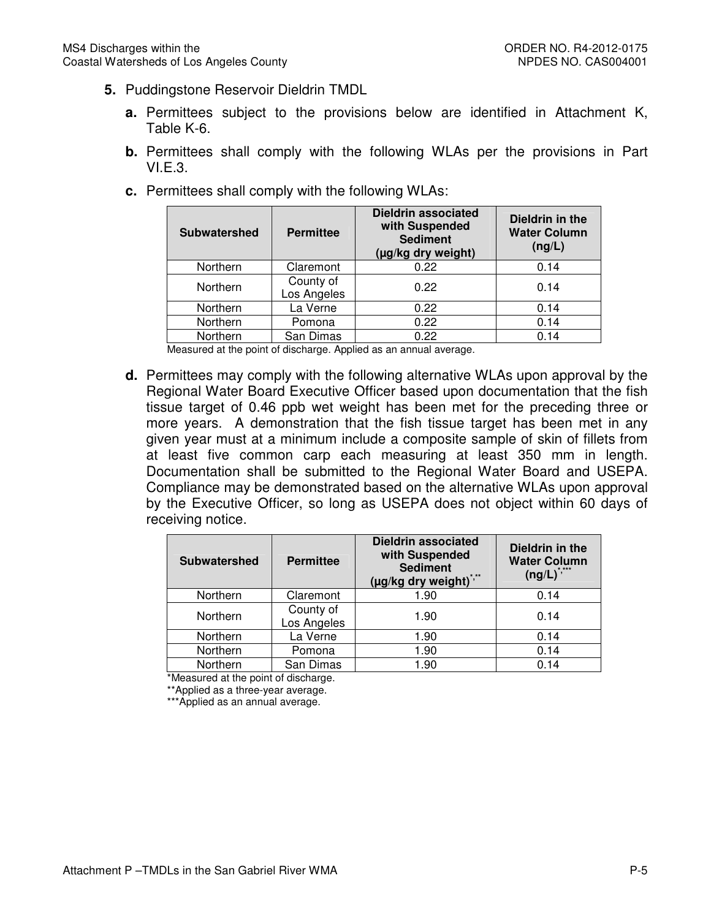- **5.** Puddingstone Reservoir Dieldrin TMDL
	- **a.** Permittees subject to the provisions below are identified in Attachment K, Table K-6.
	- **b.** Permittees shall comply with the following WLAs per the provisions in Part VI.E.3.
	- **c.** Permittees shall comply with the following WLAs:

| <b>Subwatershed</b> | <b>Permittee</b>         | <b>Dieldrin associated</b><br>with Suspended<br><b>Sediment</b><br>(µg/kg dry weight) | Dieldrin in the<br><b>Water Column</b><br>(ng/L) |
|---------------------|--------------------------|---------------------------------------------------------------------------------------|--------------------------------------------------|
| Northern            | Claremont                | 0.22                                                                                  | 0.14                                             |
| Northern            | County of<br>Los Angeles | 0.22                                                                                  | 0.14                                             |
| Northern            | La Verne                 | 0.22                                                                                  | 0.14                                             |
| Northern            | Pomona                   | 0.22                                                                                  | 0.14                                             |
| Northern            | San Dimas                | 0.22                                                                                  | 0.14                                             |

Measured at the point of discharge. Applied as an annual average.

 **d.** Permittees may comply with the following alternative WLAs upon approval by the Regional Water Board Executive Officer based upon documentation that the fish tissue target of 0.46 ppb wet weight has been met for the preceding three or more years. A demonstration that the fish tissue target has been met in any given year must at a minimum include a composite sample of skin of fillets from at least five common carp each measuring at least 350 mm in length. Documentation shall be submitted to the Regional Water Board and USEPA. Compliance may be demonstrated based on the alternative WLAs upon approval by the Executive Officer, so long as USEPA does not object within 60 days of receiving notice.

| <b>Subwatershed</b> | <b>Permittee</b>         | <b>Dieldrin associated</b><br>with Suspended<br><b>Sediment</b><br>$(\mu g/kg$ dry weight) <sup>2</sup> | Dieldrin in the<br><b>Water Column</b><br>$(ng/L)^{*,***}$ |
|---------------------|--------------------------|---------------------------------------------------------------------------------------------------------|------------------------------------------------------------|
| Northern            | Claremont                | 1.90                                                                                                    | 0.14                                                       |
| Northern            | County of<br>Los Angeles | 1.90                                                                                                    | 0.14                                                       |
| Northern            | La Verne                 | 1.90                                                                                                    | 0.14                                                       |
| Northern            | Pomona                   | 1.90                                                                                                    | 0.14                                                       |
| Northern            | San Dimas                | 1.90                                                                                                    | 0.14                                                       |

\*Measured at the point of discharge.

\*\*Applied as a three-year average.